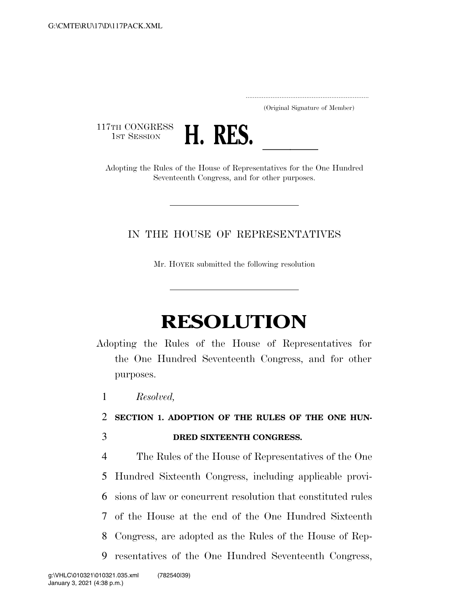..................................................................... (Original Signature of Member)

117TH CONGRESS<br>1st Session



1ST SESSION **H. RES.** <u>Adopting the Rules</u> of the House of Representatives for the One Hundred Seventeenth Congress, and for other purposes.

### IN THE HOUSE OF REPRESENTATIVES

Mr. HOYER submitted the following resolution

# **RESOLUTION**

- Adopting the Rules of the House of Representatives for the One Hundred Seventeenth Congress, and for other purposes.
	- 1 *Resolved,*

## 2 **SECTION 1. ADOPTION OF THE RULES OF THE ONE HUN-**3 **DRED SIXTEENTH CONGRESS.**

 The Rules of the House of Representatives of the One Hundred Sixteenth Congress, including applicable provi- sions of law or concurrent resolution that constituted rules of the House at the end of the One Hundred Sixteenth Congress, are adopted as the Rules of the House of Rep-resentatives of the One Hundred Seventeenth Congress,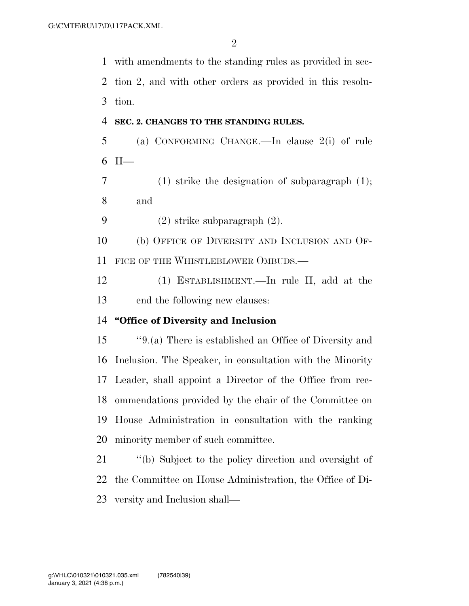with amendments to the standing rules as provided in sec- tion 2, and with other orders as provided in this resolu- tion. **SEC. 2. CHANGES TO THE STANDING RULES.**  (a) CONFORMING CHANGE.—In clause 2(i) of rule II— (1) strike the designation of subparagraph (1); and (2) strike subparagraph (2). (b) OFFICE OF DIVERSITY AND INCLUSION AND OF-11 FICE OF THE WHISTLEBLOWER OMBUDS.— (1) ESTABLISHMENT.—In rule II, add at the end the following new clauses: **''Office of Diversity and Inclusion**  ''9.(a) There is established an Office of Diversity and Inclusion. The Speaker, in consultation with the Minority Leader, shall appoint a Director of the Office from rec- ommendations provided by the chair of the Committee on House Administration in consultation with the ranking minority member of such committee. ''(b) Subject to the policy direction and oversight of the Committee on House Administration, the Office of Di-

versity and Inclusion shall—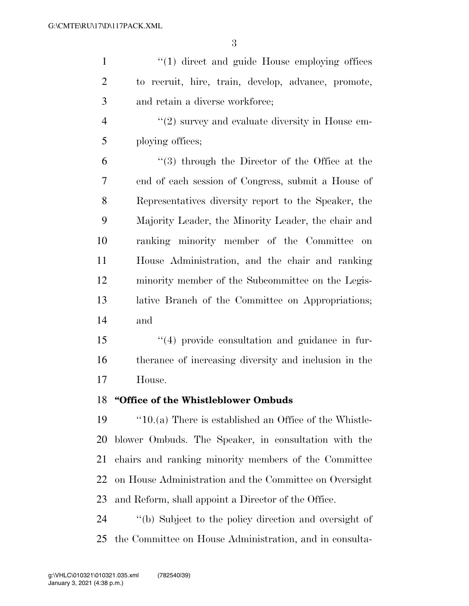| $\mathbf{1}$   | $\lq(1)$ direct and guide House employing offices        |  |  |  |  |  |  |
|----------------|----------------------------------------------------------|--|--|--|--|--|--|
| $\overline{2}$ | to recruit, hire, train, develop, advance, promote,      |  |  |  |  |  |  |
| 3              | and retain a diverse workforce;                          |  |  |  |  |  |  |
| $\overline{4}$ | $\lq(2)$ survey and evaluate diversity in House em-      |  |  |  |  |  |  |
| 5              | ploying offices;                                         |  |  |  |  |  |  |
| 6              | $\lq(3)$ through the Director of the Office at the       |  |  |  |  |  |  |
| 7              | end of each session of Congress, submit a House of       |  |  |  |  |  |  |
| 8              | Representatives diversity report to the Speaker, the     |  |  |  |  |  |  |
| 9              | Majority Leader, the Minority Leader, the chair and      |  |  |  |  |  |  |
| 10             | ranking minority member of the Committee<br>on           |  |  |  |  |  |  |
| 11             | House Administration, and the chair and ranking          |  |  |  |  |  |  |
| 12             | minority member of the Subcommittee on the Legis-        |  |  |  |  |  |  |
| 13             | lative Branch of the Committee on Appropriations;        |  |  |  |  |  |  |
| 14             | and                                                      |  |  |  |  |  |  |
| 15             | "(4) provide consultation and guidance in fur-           |  |  |  |  |  |  |
| 16             | therance of increasing diversity and inclusion in the    |  |  |  |  |  |  |
| 17             | House.                                                   |  |  |  |  |  |  |
| 18             | "Office of the Whistleblower Ombuds                      |  |  |  |  |  |  |
| 19             | $"10.(a)$ There is established an Office of the Whistle- |  |  |  |  |  |  |
| 20             | blower Ombuds. The Speaker, in consultation with the     |  |  |  |  |  |  |
| 21             | chairs and ranking minority members of the Committee     |  |  |  |  |  |  |
| 22             | on House Administration and the Committee on Oversight   |  |  |  |  |  |  |
| 23             | and Reform, shall appoint a Director of the Office.      |  |  |  |  |  |  |
| 24             | "(b) Subject to the policy direction and oversight of    |  |  |  |  |  |  |

the Committee on House Administration, and in consulta-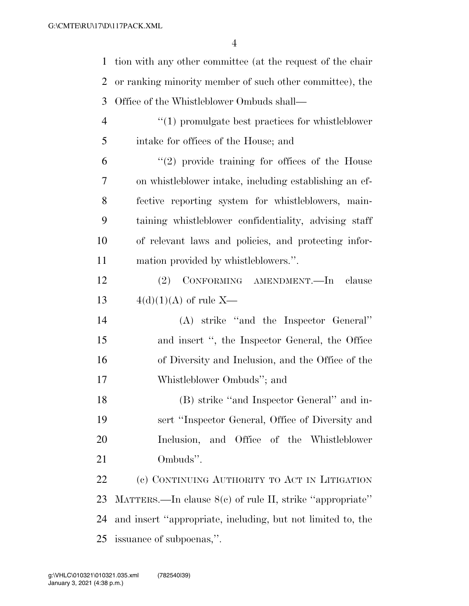tion with any other committee (at the request of the chair or ranking minority member of such other committee), the Office of the Whistleblower Ombuds shall—

 ''(1) promulgate best practices for whistleblower intake for offices of the House; and

 $(2)$  provide training for offices of the House on whistleblower intake, including establishing an ef- fective reporting system for whistleblowers, main- taining whistleblower confidentiality, advising staff of relevant laws and policies, and protecting infor-mation provided by whistleblowers.''.

 (2) CONFORMING AMENDMENT.—In clause 13  $4(d)(1)(A)$  of rule X—

 (A) strike ''and the Inspector General'' and insert '', the Inspector General, the Office of Diversity and Inclusion, and the Office of the Whistleblower Ombuds''; and

 (B) strike ''and Inspector General'' and in- sert ''Inspector General, Office of Diversity and Inclusion, and Office of the Whistleblower Ombuds''.

 (c) CONTINUING AUTHORITY TO ACT IN LITIGATION MATTERS.—In clause 8(c) of rule II, strike ''appropriate'' and insert ''appropriate, including, but not limited to, the issuance of subpoenas,''.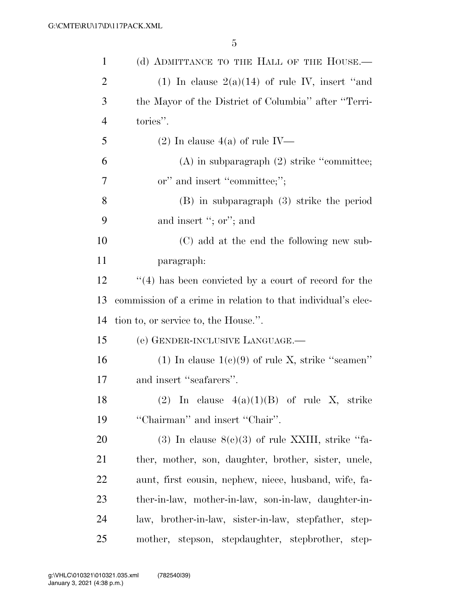| $\mathbf{1}$ | (d) ADMITTANCE TO THE HALL OF THE HOUSE.—                    |  |  |  |  |  |  |  |
|--------------|--------------------------------------------------------------|--|--|--|--|--|--|--|
| 2            | (1) In clause $2(a)(14)$ of rule IV, insert "and             |  |  |  |  |  |  |  |
| 3            | the Mayor of the District of Columbia" after "Terri-         |  |  |  |  |  |  |  |
| 4            | tories".                                                     |  |  |  |  |  |  |  |
| 5            | $(2)$ In clause 4(a) of rule IV—                             |  |  |  |  |  |  |  |
| 6            | $(A)$ in subparagraph $(2)$ strike "committee;               |  |  |  |  |  |  |  |
| 7            | or" and insert "committee;";                                 |  |  |  |  |  |  |  |
| 8            | $(B)$ in subparagraph $(3)$ strike the period                |  |  |  |  |  |  |  |
| 9            | and insert "; or"; and                                       |  |  |  |  |  |  |  |
| 10           | (C) add at the end the following new sub-                    |  |  |  |  |  |  |  |
| 11           | paragraph:                                                   |  |  |  |  |  |  |  |
| 12           | $(4)$ has been convicted by a court of record for the        |  |  |  |  |  |  |  |
| 13           | commission of a crime in relation to that individual's elec- |  |  |  |  |  |  |  |
| 14           | tion to, or service to, the House.".                         |  |  |  |  |  |  |  |
| 15           | (e) GENDER-INCLUSIVE LANGUAGE.—                              |  |  |  |  |  |  |  |
| 16           | (1) In clause $1(e)(9)$ of rule X, strike "seamen"           |  |  |  |  |  |  |  |
| 17           | and insert "seafarers".                                      |  |  |  |  |  |  |  |
| 18           | (2) In clause $4(a)(1)(B)$ of rule X, strike                 |  |  |  |  |  |  |  |
| 19           | "Chairman" and insert "Chair".                               |  |  |  |  |  |  |  |
| 20           | $(3)$ In clause $8(e)(3)$ of rule XXIII, strike "fa-         |  |  |  |  |  |  |  |
| 21           | ther, mother, son, daughter, brother, sister, uncle,         |  |  |  |  |  |  |  |
| 22           | aunt, first cousin, nephew, niece, husband, wife, fa-        |  |  |  |  |  |  |  |
| 23           | ther-in-law, mother-in-law, son-in-law, daughter-in-         |  |  |  |  |  |  |  |
| 24           | law, brother-in-law, sister-in-law, stepfather, step-        |  |  |  |  |  |  |  |
| 25           | mother, stepson, stepdaughter, stepbrother, step-            |  |  |  |  |  |  |  |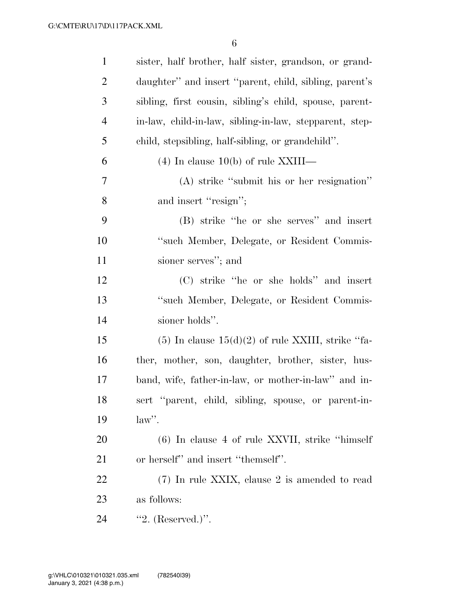| $\mathbf{1}$   | sister, half brother, half sister, grandson, or grand-  |
|----------------|---------------------------------------------------------|
| $\overline{2}$ | daughter" and insert "parent, child, sibling, parent's  |
| 3              | sibling, first cousin, sibling's child, spouse, parent- |
| $\overline{4}$ | in-law, child-in-law, sibling-in-law, stepparent, step- |
| 5              | child, stepsibling, half-sibling, or grandchild".       |
| 6              | $(4)$ In clause 10(b) of rule XXIII—                    |
| 7              | (A) strike "submit his or her resignation"              |
| 8              | and insert "resign";                                    |
| 9              | (B) strike "he or she serves" and insert                |
| 10             | "such Member, Delegate, or Resident Commis-             |
| 11             | sioner serves"; and                                     |
| 12             | (C) strike "he or she holds" and insert                 |
| 13             | "such Member, Delegate, or Resident Commis-             |
| 14             | sioner holds".                                          |
| 15             | $(5)$ In clause $15(d)(2)$ of rule XXIII, strike "fa-   |
| 16             | ther, mother, son, daughter, brother, sister, hus-      |
| 17             | band, wife, father-in-law, or mother-in-law" and in-    |
| 18             | sert "parent, child, sibling, spouse, or parent-in-     |
| 19             | $law$ ".                                                |
| 20             | $(6)$ In clause 4 of rule XXVII, strike "himself"       |
| 21             | or herself" and insert "themself".                      |
| 22             | (7) In rule XXIX, clause 2 is amended to read           |
| 23             | as follows:                                             |
| 24             | "2. $(Reserved.)$ ".                                    |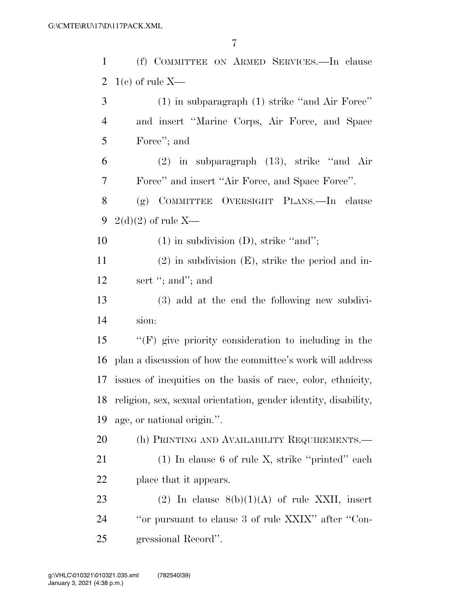| $\mathbf{1}$   | (f) COMMITTEE ON ARMED SERVICES.—In clause                      |  |  |  |  |  |  |  |
|----------------|-----------------------------------------------------------------|--|--|--|--|--|--|--|
| $\overline{2}$ | $1(c)$ of rule X—                                               |  |  |  |  |  |  |  |
| 3              | $(1)$ in subparagraph $(1)$ strike "and Air Force"              |  |  |  |  |  |  |  |
| $\overline{4}$ | and insert "Marine Corps, Air Force, and Space                  |  |  |  |  |  |  |  |
| 5              | Force"; and                                                     |  |  |  |  |  |  |  |
| 6              | $(2)$ in subparagraph $(13)$ , strike "and Air                  |  |  |  |  |  |  |  |
| 7              | Force" and insert "Air Force, and Space Force".                 |  |  |  |  |  |  |  |
| $8\phantom{1}$ | (g) COMMITTEE OVERSIGHT PLANS.—In clause                        |  |  |  |  |  |  |  |
| 9              | $2(d)(2)$ of rule X—                                            |  |  |  |  |  |  |  |
| 10             | $(1)$ in subdivision $(D)$ , strike "and";                      |  |  |  |  |  |  |  |
| 11             | $(2)$ in subdivision $(E)$ , strike the period and in-          |  |  |  |  |  |  |  |
| 12             | sert "; and"; and                                               |  |  |  |  |  |  |  |
| 13             | (3) add at the end the following new subdivi-                   |  |  |  |  |  |  |  |
| 14             | sion:                                                           |  |  |  |  |  |  |  |
| 15             | $\lq\lq(F)$ give priority consideration to including in the     |  |  |  |  |  |  |  |
| 16             | plan a discussion of how the committee's work will address      |  |  |  |  |  |  |  |
| 17             | issues of inequities on the basis of race, color, ethnicity,    |  |  |  |  |  |  |  |
| 18             | religion, sex, sexual orientation, gender identity, disability, |  |  |  |  |  |  |  |
| 19             | age, or national origin.".                                      |  |  |  |  |  |  |  |
| 20             | (h) PRINTING AND AVAILABILITY REQUIREMENTS.-                    |  |  |  |  |  |  |  |
| 21             | $(1)$ In clause 6 of rule X, strike "printed" each              |  |  |  |  |  |  |  |
| 22             | place that it appears.                                          |  |  |  |  |  |  |  |
| 23             | (2) In clause $8(b)(1)(A)$ of rule XXII, insert                 |  |  |  |  |  |  |  |
| 24             | "or pursuant to clause 3 of rule XXIX" after "Con-              |  |  |  |  |  |  |  |
| 25             | gressional Record".                                             |  |  |  |  |  |  |  |
|                |                                                                 |  |  |  |  |  |  |  |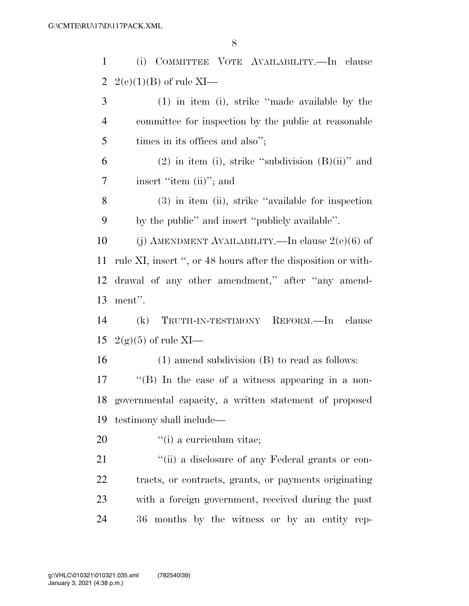| $\mathbf{1}$   | (i) COMMITTEE VOTE AVAILABILITY.—In clause                    |  |  |  |  |  |  |  |  |
|----------------|---------------------------------------------------------------|--|--|--|--|--|--|--|--|
| 2              | $2(e)(1)(B)$ of rule XI—                                      |  |  |  |  |  |  |  |  |
| 3              | $(1)$ in item (i), strike "made available by the              |  |  |  |  |  |  |  |  |
| $\overline{4}$ | committee for inspection by the public at reasonable          |  |  |  |  |  |  |  |  |
| 5              | times in its offices and also";                               |  |  |  |  |  |  |  |  |
| 6              | $(2)$ in item (i), strike "subdivision $(B)(ii)$ " and        |  |  |  |  |  |  |  |  |
| 7              | insert "item (ii)"; and                                       |  |  |  |  |  |  |  |  |
| 8              | $(3)$ in item (ii), strike "available for inspection          |  |  |  |  |  |  |  |  |
| 9              | by the public" and insert "publicly available".               |  |  |  |  |  |  |  |  |
| 10             | (j) AMENDMENT AVAILABILITY.—In clause $2(e)(6)$ of            |  |  |  |  |  |  |  |  |
| 11             | rule XI, insert ", or 48 hours after the disposition or with- |  |  |  |  |  |  |  |  |
| 12             | drawal of any other amendment," after "any amend-             |  |  |  |  |  |  |  |  |
| 13             | ment".                                                        |  |  |  |  |  |  |  |  |
| 14             | TRUTH-IN-TESTIMONY REFORM.—In clause<br>(k)                   |  |  |  |  |  |  |  |  |
| 15             | $2(g)(5)$ of rule XI—                                         |  |  |  |  |  |  |  |  |
| 16             | $(1)$ amend subdivision $(B)$ to read as follows:             |  |  |  |  |  |  |  |  |
| 17             | $\lq$ (B) In the case of a witness appearing in a non-        |  |  |  |  |  |  |  |  |
| 18             | governmental capacity, a written statement of proposed        |  |  |  |  |  |  |  |  |
| 19             | testimony shall include—                                      |  |  |  |  |  |  |  |  |
| 20             | "(i) a curriculum vitae;                                      |  |  |  |  |  |  |  |  |
| 21             | "(ii) a disclosure of any Federal grants or con-              |  |  |  |  |  |  |  |  |
| 22             | tracts, or contracts, grants, or payments originating         |  |  |  |  |  |  |  |  |
| 23             | with a foreign government, received during the past           |  |  |  |  |  |  |  |  |
| 24             | 36 months by the witness or by an entity rep-                 |  |  |  |  |  |  |  |  |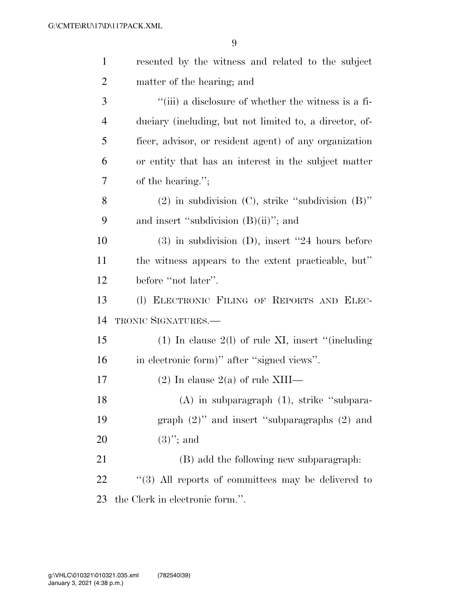| $\mathbf{1}$   | resented by the witness and related to the subject          |  |  |  |  |  |  |
|----------------|-------------------------------------------------------------|--|--|--|--|--|--|
| $\overline{2}$ | matter of the hearing; and                                  |  |  |  |  |  |  |
| 3              | $\lq\lq$ (iii) a disclosure of whether the witness is a fi- |  |  |  |  |  |  |
| $\overline{4}$ | duciary (including, but not limited to, a director, of-     |  |  |  |  |  |  |
| 5              | ficer, advisor, or resident agent) of any organization      |  |  |  |  |  |  |
| 6              | or entity that has an interest in the subject matter        |  |  |  |  |  |  |
| 7              | of the hearing.";                                           |  |  |  |  |  |  |
| 8              | $(2)$ in subdivision $(C)$ , strike "subdivision $(B)$ "    |  |  |  |  |  |  |
| 9              | and insert "subdivision $(B)(ii)$ "; and                    |  |  |  |  |  |  |
| 10             | $(3)$ in subdivision $(D)$ , insert "24 hours before        |  |  |  |  |  |  |
| 11             | the witness appears to the extent practicable, but"         |  |  |  |  |  |  |
| 12             | before "not later".                                         |  |  |  |  |  |  |
| 13             | (1) ELECTRONIC FILING OF REPORTS AND ELEC-                  |  |  |  |  |  |  |
| 14             | TRONIC SIGNATURES.                                          |  |  |  |  |  |  |
| 15             | $(1)$ In clause $2(1)$ of rule XI, insert "(including       |  |  |  |  |  |  |
| 16             | in electronic form)" after "signed views".                  |  |  |  |  |  |  |
| 17             | $(2)$ In clause $2(a)$ of rule XIII—                        |  |  |  |  |  |  |
| 18             | $(A)$ in subparagraph $(1)$ , strike "subpara-              |  |  |  |  |  |  |
| 19             | graph $(2)$ " and insert "subparagraphs $(2)$ and           |  |  |  |  |  |  |
| 20             | $(3)$ "; and                                                |  |  |  |  |  |  |
| 21             | (B) add the following new subparagraph.                     |  |  |  |  |  |  |
| 22             | $\lq(3)$ All reports of committees may be delivered to      |  |  |  |  |  |  |
| 23             | the Clerk in electronic form.".                             |  |  |  |  |  |  |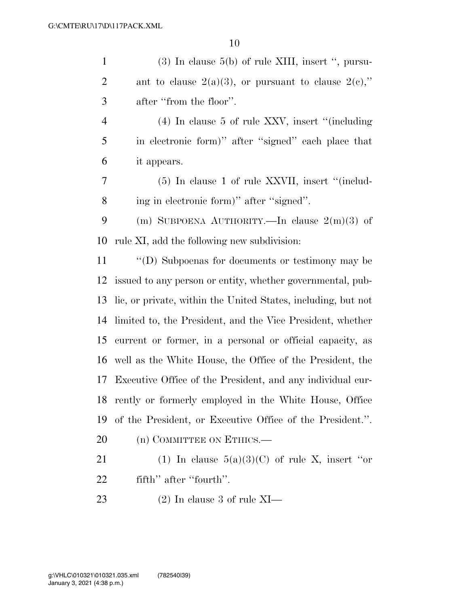| $\mathbf{1}$   | $(3)$ In clause 5(b) of rule XIII, insert ", pursu-           |  |  |  |  |  |  |
|----------------|---------------------------------------------------------------|--|--|--|--|--|--|
| $\overline{2}$ | ant to clause $2(a)(3)$ , or pursuant to clause $2(e)$ ,"     |  |  |  |  |  |  |
| 3              | after "from the floor".                                       |  |  |  |  |  |  |
| $\overline{4}$ | $(4)$ In clause 5 of rule XXV, insert "(including             |  |  |  |  |  |  |
| 5              | in electronic form)" after "signed" each place that           |  |  |  |  |  |  |
| 6              | it appears.                                                   |  |  |  |  |  |  |
| 7              | $(5)$ In clause 1 of rule XXVII, insert "(includ-             |  |  |  |  |  |  |
| 8              | ing in electronic form)" after "signed".                      |  |  |  |  |  |  |
| 9              | (m) SUBPOENA AUTHORITY.—In clause $2(m)(3)$ of                |  |  |  |  |  |  |
| 10             | rule XI, add the following new subdivision:                   |  |  |  |  |  |  |
| 11             | "(D) Subpoenas for documents or testimony may be              |  |  |  |  |  |  |
| 12             | issued to any person or entity, whether governmental, pub-    |  |  |  |  |  |  |
| 13             | lic, or private, within the United States, including, but not |  |  |  |  |  |  |
| 14             | limited to, the President, and the Vice President, whether    |  |  |  |  |  |  |
| 15             | current or former, in a personal or official capacity, as     |  |  |  |  |  |  |
| 16             | well as the White House, the Office of the President, the     |  |  |  |  |  |  |
| 17             | Executive Office of the President, and any individual cur-    |  |  |  |  |  |  |
|                | 18 rently or formerly employed in the White House, Office     |  |  |  |  |  |  |
| 19             | of the President, or Executive Office of the President.".     |  |  |  |  |  |  |
| 20             | (n) COMMITTEE ON ETHICS.—                                     |  |  |  |  |  |  |
| 21             | (1) In clause $5(a)(3)(C)$ of rule X, insert "or              |  |  |  |  |  |  |
| 22             | fifth" after "fourth".                                        |  |  |  |  |  |  |
| 23             | $(2)$ In clause 3 of rule XI—                                 |  |  |  |  |  |  |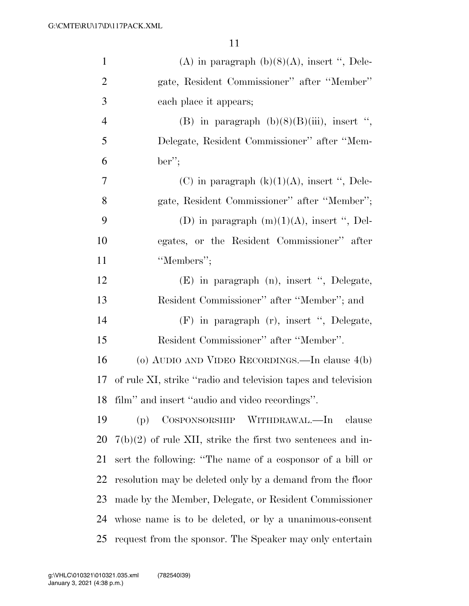| $\mathbf{1}$   | (A) in paragraph $(b)(8)(A)$ , insert ", Dele-                |  |  |  |  |  |  |  |
|----------------|---------------------------------------------------------------|--|--|--|--|--|--|--|
| $\overline{2}$ | gate, Resident Commissioner" after "Member"                   |  |  |  |  |  |  |  |
| 3              | each place it appears;                                        |  |  |  |  |  |  |  |
| $\overline{4}$ | (B) in paragraph $(b)(8)(B)(iii)$ , insert ",                 |  |  |  |  |  |  |  |
| 5              | Delegate, Resident Commissioner" after "Mem-                  |  |  |  |  |  |  |  |
| 6              | $ber$ ";                                                      |  |  |  |  |  |  |  |
| 7              | (C) in paragraph $(k)(1)(A)$ , insert ", Dele-                |  |  |  |  |  |  |  |
| 8              | gate, Resident Commissioner" after "Member";                  |  |  |  |  |  |  |  |
| 9              | (D) in paragraph $(m)(1)(A)$ , insert ", Del-                 |  |  |  |  |  |  |  |
| 10             | egates, or the Resident Commissioner" after                   |  |  |  |  |  |  |  |
| 11             | "Members";                                                    |  |  |  |  |  |  |  |
| 12             | (E) in paragraph (n), insert ", Delegate,                     |  |  |  |  |  |  |  |
| 13             | Resident Commissioner" after "Member"; and                    |  |  |  |  |  |  |  |
| 14             | (F) in paragraph (r), insert ", Delegate,                     |  |  |  |  |  |  |  |
| 15             | Resident Commissioner" after "Member".                        |  |  |  |  |  |  |  |
| 16             | (o) AUDIO AND VIDEO RECORDINGS.—In clause 4(b)                |  |  |  |  |  |  |  |
| 17             | of rule XI, strike "radio and television tapes and television |  |  |  |  |  |  |  |
|                | 18 film" and insert "audio and video recordings".             |  |  |  |  |  |  |  |
| 19             | COSPONSORSHIP WITHDRAWAL.—In<br>(p)<br>clause                 |  |  |  |  |  |  |  |
| 20             | $7(b)(2)$ of rule XII, strike the first two sentences and in- |  |  |  |  |  |  |  |
| 21             | sert the following: "The name of a cosponsor of a bill or     |  |  |  |  |  |  |  |
| 22             | resolution may be deleted only by a demand from the floor     |  |  |  |  |  |  |  |
| 23             | made by the Member, Delegate, or Resident Commissioner        |  |  |  |  |  |  |  |
| 24             | whose name is to be deleted, or by a unanimous-consent        |  |  |  |  |  |  |  |
| 25             | request from the sponsor. The Speaker may only entertain      |  |  |  |  |  |  |  |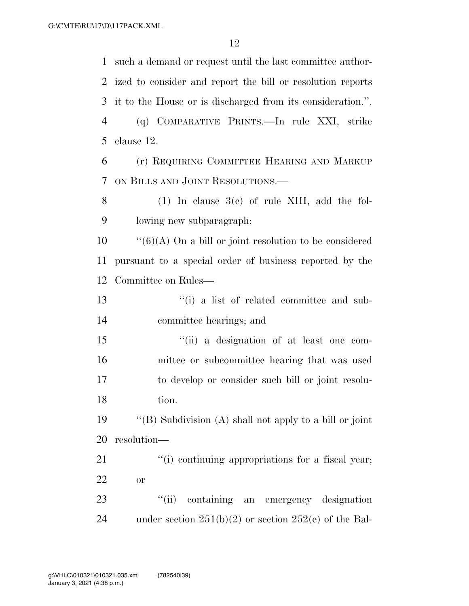such a demand or request until the last committee author- ized to consider and report the bill or resolution reports it to the House or is discharged from its consideration.''. (q) COMPARATIVE PRINTS.—In rule XXI, strike clause 12. (r) REQUIRING COMMITTEE HEARING AND MARKUP ON BILLS AND JOINT RESOLUTIONS.— 8 (1) In clause  $3(c)$  of rule XIII, add the fol- lowing new subparagraph:  $\cdot$  ''(6)(A) On a bill or joint resolution to be considered pursuant to a special order of business reported by the Committee on Rules— ''(i) a list of related committee and sub- committee hearings; and ''(ii) a designation of at least one com- mittee or subcommittee hearing that was used to develop or consider such bill or joint resolu- tion. ''(B) Subdivision (A) shall not apply to a bill or joint resolution—  $\frac{1}{2}$  (i) continuing appropriations for a fiscal year; or 23 "(ii) containing an emergency designation 24 under section  $251(b)(2)$  or section  $252(e)$  of the Bal-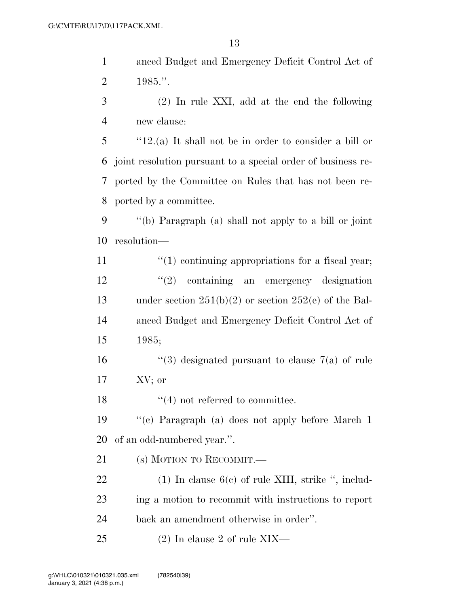- anced Budget and Emergency Deficit Control Act of 1985.''.
- (2) In rule XXI, add at the end the following new clause:

 ''12.(a) It shall not be in order to consider a bill or joint resolution pursuant to a special order of business re- ported by the Committee on Rules that has not been re-ported by a committee.

 ''(b) Paragraph (a) shall not apply to a bill or joint resolution—

11  $\frac{1}{2}$  (1) continuing appropriations for a fiscal year; ''(2) containing an emergency designation 13 under section  $251(b)(2)$  or section  $252(e)$  of the Bal- anced Budget and Emergency Deficit Control Act of 1985;

16  $\frac{1}{3}$  designated pursuant to clause 7(a) of rule XV; or

18  $\frac{1}{2}$  18  $\frac{1}{2}$  18  $\frac{1}{2}$  18  $\frac{1}{2}$  18  $\frac{1}{2}$  18  $\frac{1}{2}$  18  $\frac{1}{2}$  18  $\frac{1}{2}$  18  $\frac{1}{2}$  18  $\frac{1}{2}$  18  $\frac{1}{2}$  18  $\frac{1}{2}$  18  $\frac{1}{2}$  18  $\frac{1}{2}$  18  $\frac{1}{2}$  18  $\frac{1}{2}$  18  $\frac{1}{2}$ 

 ''(c) Paragraph (a) does not apply before March 1 of an odd-numbered year.''.

(s) MOTION TO RECOMMIT.—

22 (1) In clause 6(c) of rule XIII, strike ", includ- ing a motion to recommit with instructions to report back an amendment otherwise in order''.

(2) In clause 2 of rule XIX—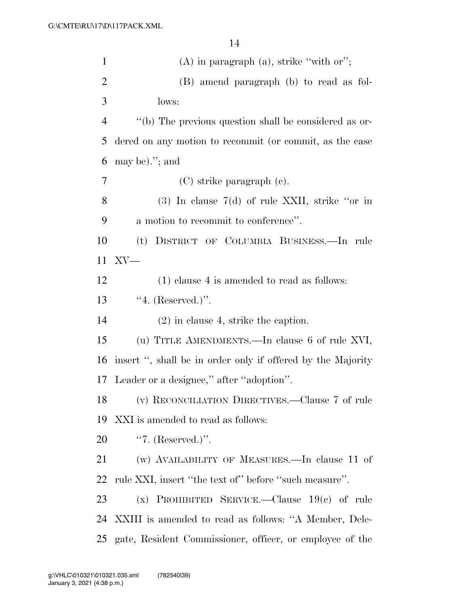| $\mathbf{1}$   | $(A)$ in paragraph $(a)$ , strike "with or";                |  |  |  |  |  |  |  |
|----------------|-------------------------------------------------------------|--|--|--|--|--|--|--|
| $\overline{2}$ | (B) amend paragraph (b) to read as fol-                     |  |  |  |  |  |  |  |
| 3              | lows:                                                       |  |  |  |  |  |  |  |
| 4              | "(b) The previous question shall be considered as or-       |  |  |  |  |  |  |  |
| 5              | dered on any motion to recommit (or commit, as the case     |  |  |  |  |  |  |  |
| 6              | may be). $\prime$ ; and                                     |  |  |  |  |  |  |  |
| $\overline{7}$ | $(C)$ strike paragraph $(e)$ .                              |  |  |  |  |  |  |  |
| 8              | $(3)$ In clause 7(d) of rule XXII, strike "or in            |  |  |  |  |  |  |  |
| 9              | a motion to recommit to conference".                        |  |  |  |  |  |  |  |
| 10             | (t) DISTRICT OF COLUMBIA BUSINESS.—In rule                  |  |  |  |  |  |  |  |
| 11             | $XV$ —                                                      |  |  |  |  |  |  |  |
| 12             | $(1)$ clause 4 is amended to read as follows:               |  |  |  |  |  |  |  |
| 13             | $4.$ (Reserved.)".                                          |  |  |  |  |  |  |  |
| 14             | $(2)$ in clause 4, strike the caption.                      |  |  |  |  |  |  |  |
| 15             | (u) TITLE AMENDMENTS.—In clause 6 of rule XVI,              |  |  |  |  |  |  |  |
| 16             | insert ", shall be in order only if offered by the Majority |  |  |  |  |  |  |  |
| 17             | Leader or a designee," after "adoption".                    |  |  |  |  |  |  |  |
| 18             | (v) RECONCILIATION DIRECTIVES.—Clause 7 of rule             |  |  |  |  |  |  |  |
| 19             | XXI is amended to read as follows:                          |  |  |  |  |  |  |  |
| 20             | "7. $(Reserved.)$ ".                                        |  |  |  |  |  |  |  |
| 21             | (w) AVAILABILITY OF MEASURES.—In clause 11 of               |  |  |  |  |  |  |  |
| 22             | rule XXI, insert "the text of" before "such measure".       |  |  |  |  |  |  |  |
| 23             | (x) PROHIBITED SERVICE.—Clause $19(c)$ of rule              |  |  |  |  |  |  |  |
|                | 24 XXIII is amended to read as follows: "A Member, Dele-    |  |  |  |  |  |  |  |
| 25             | gate, Resident Commissioner, officer, or employee of the    |  |  |  |  |  |  |  |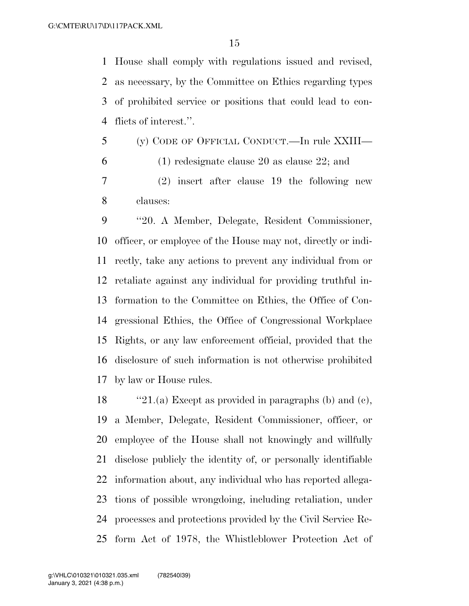House shall comply with regulations issued and revised, as necessary, by the Committee on Ethics regarding types of prohibited service or positions that could lead to con-flicts of interest.''.

- (y) CODE OF OFFICIAL CONDUCT.—In rule XXIII—
- (1) redesignate clause 20 as clause 22; and

 (2) insert after clause 19 the following new clauses:

 ''20. A Member, Delegate, Resident Commissioner, officer, or employee of the House may not, directly or indi- rectly, take any actions to prevent any individual from or retaliate against any individual for providing truthful in- formation to the Committee on Ethics, the Office of Con- gressional Ethics, the Office of Congressional Workplace Rights, or any law enforcement official, provided that the disclosure of such information is not otherwise prohibited by law or House rules.

 ''21.(a) Except as provided in paragraphs (b) and (c), a Member, Delegate, Resident Commissioner, officer, or employee of the House shall not knowingly and willfully disclose publicly the identity of, or personally identifiable information about, any individual who has reported allega- tions of possible wrongdoing, including retaliation, under processes and protections provided by the Civil Service Re-form Act of 1978, the Whistleblower Protection Act of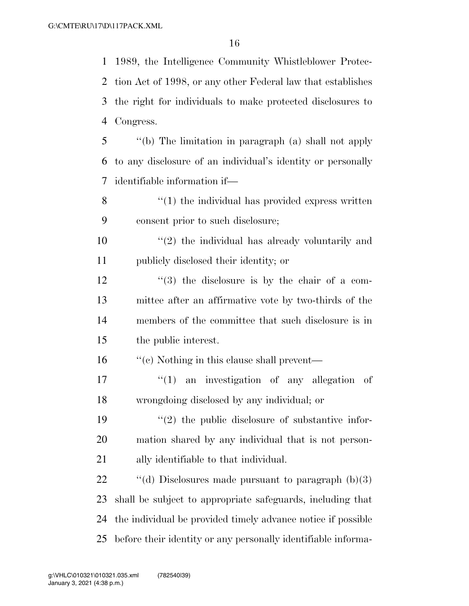1989, the Intelligence Community Whistleblower Protec- tion Act of 1998, or any other Federal law that establishes the right for individuals to make protected disclosures to Congress.

 ''(b) The limitation in paragraph (a) shall not apply to any disclosure of an individual's identity or personally identifiable information if—

 ''(1) the individual has provided express written consent prior to such disclosure;

 $\mathcal{L}(2)$  the individual has already voluntarily and publicly disclosed their identity; or

 ''(3) the disclosure is by the chair of a com- mittee after an affirmative vote by two-thirds of the members of the committee that such disclosure is in the public interest.

16 ''(c) Nothing in this clause shall prevent—

17  $\frac{1}{2}$  an investigation of any allegation of wrongdoing disclosed by any individual; or

19  $\frac{1}{2}$  the public disclosure of substantive infor- mation shared by any individual that is not person-ally identifiable to that individual.

 $\qquad$  "(d) Disclosures made pursuant to paragraph (b)(3) shall be subject to appropriate safeguards, including that the individual be provided timely advance notice if possible before their identity or any personally identifiable informa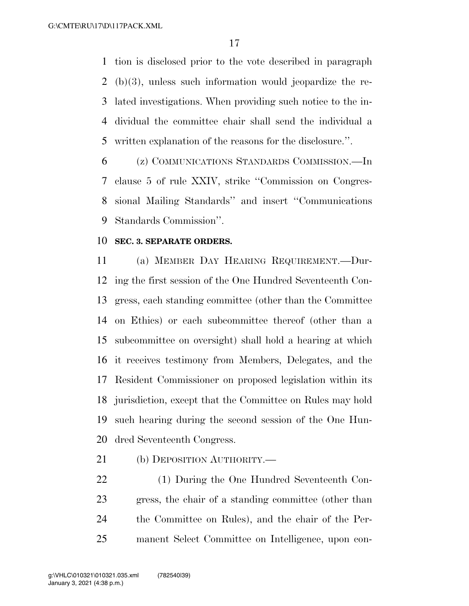tion is disclosed prior to the vote described in paragraph (b)(3), unless such information would jeopardize the re- lated investigations. When providing such notice to the in- dividual the committee chair shall send the individual a written explanation of the reasons for the disclosure.''.

 (z) COMMUNICATIONS STANDARDS COMMISSION.—In clause 5 of rule XXIV, strike ''Commission on Congres- sional Mailing Standards'' and insert ''Communications Standards Commission''.

#### **SEC. 3. SEPARATE ORDERS.**

 (a) MEMBER DAY HEARING REQUIREMENT.—Dur- ing the first session of the One Hundred Seventeenth Con- gress, each standing committee (other than the Committee on Ethics) or each subcommittee thereof (other than a subcommittee on oversight) shall hold a hearing at which it receives testimony from Members, Delegates, and the Resident Commissioner on proposed legislation within its jurisdiction, except that the Committee on Rules may hold such hearing during the second session of the One Hun-dred Seventeenth Congress.

21 (b) DEPOSITION AUTHORITY.—

 (1) During the One Hundred Seventeenth Con- gress, the chair of a standing committee (other than the Committee on Rules), and the chair of the Per-manent Select Committee on Intelligence, upon con-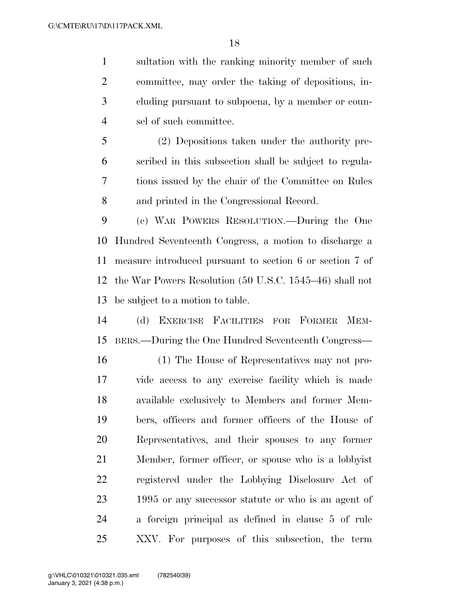sultation with the ranking minority member of such committee, may order the taking of depositions, in- cluding pursuant to subpoena, by a member or coun-sel of such committee.

 (2) Depositions taken under the authority pre- scribed in this subsection shall be subject to regula- tions issued by the chair of the Committee on Rules and printed in the Congressional Record.

 (c) WAR POWERS RESOLUTION.—During the One Hundred Seventeenth Congress, a motion to discharge a measure introduced pursuant to section 6 or section 7 of the War Powers Resolution (50 U.S.C. 1545–46) shall not be subject to a motion to table.

 (d) EXERCISE FACILITIES FOR FORMER MEM-BERS.—During the One Hundred Seventeenth Congress—

 (1) The House of Representatives may not pro- vide access to any exercise facility which is made available exclusively to Members and former Mem- bers, officers and former officers of the House of Representatives, and their spouses to any former Member, former officer, or spouse who is a lobbyist registered under the Lobbying Disclosure Act of 1995 or any successor statute or who is an agent of a foreign principal as defined in clause 5 of rule XXV. For purposes of this subsection, the term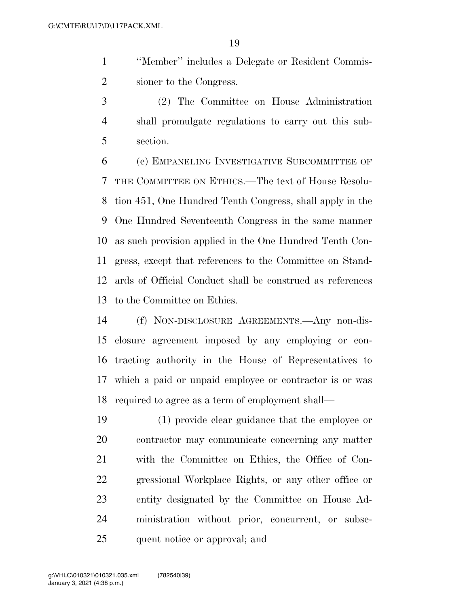''Member'' includes a Delegate or Resident Commis-sioner to the Congress.

 (2) The Committee on House Administration shall promulgate regulations to carry out this sub-section.

 (e) EMPANELING INVESTIGATIVE SUBCOMMITTEE OF THE COMMITTEE ON ETHICS.—The text of House Resolu- tion 451, One Hundred Tenth Congress, shall apply in the One Hundred Seventeenth Congress in the same manner as such provision applied in the One Hundred Tenth Con- gress, except that references to the Committee on Stand- ards of Official Conduct shall be construed as references to the Committee on Ethics.

 (f) NON-DISCLOSURE AGREEMENTS.—Any non-dis- closure agreement imposed by any employing or con- tracting authority in the House of Representatives to which a paid or unpaid employee or contractor is or was required to agree as a term of employment shall—

 (1) provide clear guidance that the employee or contractor may communicate concerning any matter with the Committee on Ethics, the Office of Con- gressional Workplace Rights, or any other office or entity designated by the Committee on House Ad- ministration without prior, concurrent, or subse-quent notice or approval; and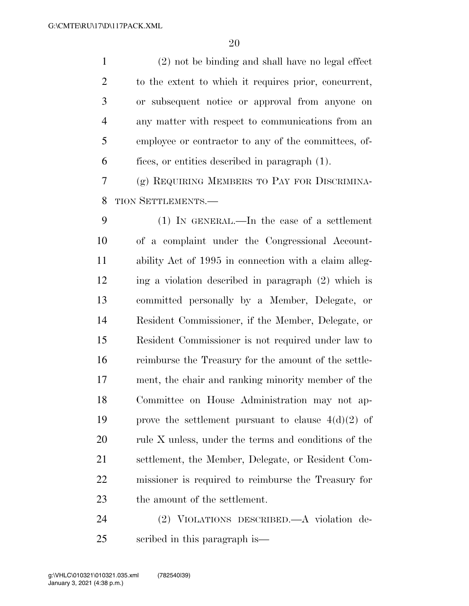(2) not be binding and shall have no legal effect to the extent to which it requires prior, concurrent, or subsequent notice or approval from anyone on any matter with respect to communications from an employee or contractor to any of the committees, of-fices, or entities described in paragraph (1).

 (g) REQUIRING MEMBERS TO PAY FOR DISCRIMINA-TION SETTLEMENTS.—

 (1) IN GENERAL.—In the case of a settlement of a complaint under the Congressional Account- ability Act of 1995 in connection with a claim alleg- ing a violation described in paragraph (2) which is committed personally by a Member, Delegate, or Resident Commissioner, if the Member, Delegate, or Resident Commissioner is not required under law to reimburse the Treasury for the amount of the settle- ment, the chair and ranking minority member of the Committee on House Administration may not ap-19 prove the settlement pursuant to clause  $4(d)(2)$  of 20 rule X unless, under the terms and conditions of the settlement, the Member, Delegate, or Resident Com- missioner is required to reimburse the Treasury for the amount of the settlement.

 (2) VIOLATIONS DESCRIBED.—A violation de-scribed in this paragraph is—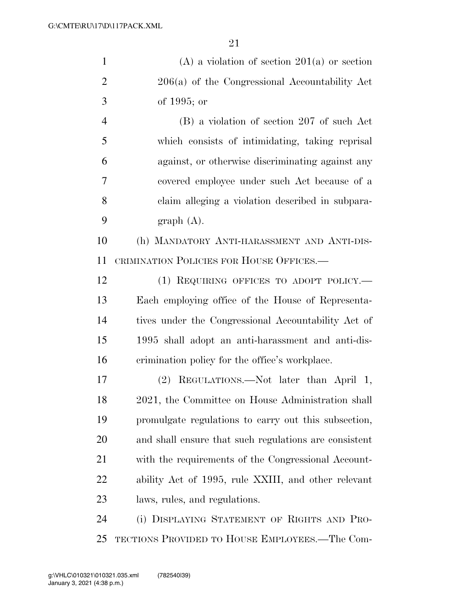| $\mathbf{1}$   | $(A)$ a violation of section 201(a) or section        |  |  |  |  |  |  |
|----------------|-------------------------------------------------------|--|--|--|--|--|--|
| $\overline{2}$ | 206(a) of the Congressional Accountability Act        |  |  |  |  |  |  |
| 3              | of $1995$ ; or                                        |  |  |  |  |  |  |
| $\overline{4}$ | (B) a violation of section 207 of such Act            |  |  |  |  |  |  |
| 5              | which consists of intimidating, taking reprisal       |  |  |  |  |  |  |
| 6              | against, or otherwise discriminating against any      |  |  |  |  |  |  |
| 7              | covered employee under such Act because of a          |  |  |  |  |  |  |
| 8              | claim alleging a violation described in subpara-      |  |  |  |  |  |  |
| 9              | graph(A).                                             |  |  |  |  |  |  |
| 10             | (h) MANDATORY ANTI-HARASSMENT AND ANTI-DIS-           |  |  |  |  |  |  |
| 11             | CRIMINATION POLICIES FOR HOUSE OFFICES.—              |  |  |  |  |  |  |
| 12             | (1) REQUIRING OFFICES TO ADOPT POLICY.—               |  |  |  |  |  |  |
| 13             | Each employing office of the House of Representa-     |  |  |  |  |  |  |
| 14             | tives under the Congressional Accountability Act of   |  |  |  |  |  |  |
| 15             | 1995 shall adopt an anti-harassment and anti-dis-     |  |  |  |  |  |  |
| 16             | erimination policy for the office's workplace.        |  |  |  |  |  |  |
| 17             | REGULATIONS.—Not later than April 1,<br>(2)           |  |  |  |  |  |  |
| 18             | 2021, the Committee on House Administration shall     |  |  |  |  |  |  |
| 19             | promulgate regulations to carry out this subsection,  |  |  |  |  |  |  |
| 20             | and shall ensure that such regulations are consistent |  |  |  |  |  |  |
| 21             | with the requirements of the Congressional Account-   |  |  |  |  |  |  |
| 22             | ability Act of 1995, rule XXIII, and other relevant   |  |  |  |  |  |  |
| 23             | laws, rules, and regulations.                         |  |  |  |  |  |  |
| 24             | (i) DISPLAYING STATEMENT OF RIGHTS AND PRO-           |  |  |  |  |  |  |
| 25             | TECTIONS PROVIDED TO HOUSE EMPLOYEES.—The Com-        |  |  |  |  |  |  |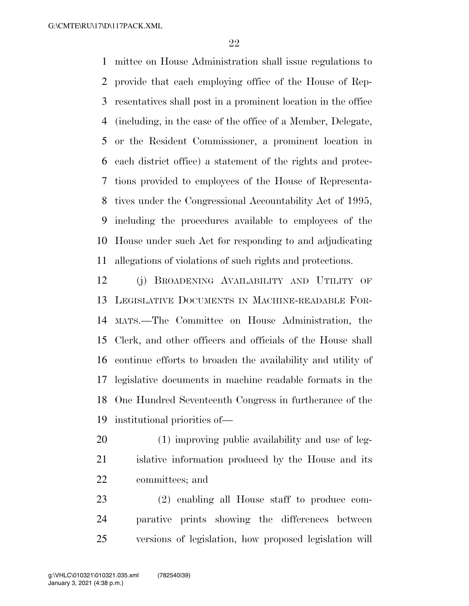mittee on House Administration shall issue regulations to provide that each employing office of the House of Rep- resentatives shall post in a prominent location in the office (including, in the case of the office of a Member, Delegate, or the Resident Commissioner, a prominent location in each district office) a statement of the rights and protec- tions provided to employees of the House of Representa- tives under the Congressional Accountability Act of 1995, including the procedures available to employees of the House under such Act for responding to and adjudicating allegations of violations of such rights and protections.

 (j) BROADENING AVAILABILITY AND UTILITY OF LEGISLATIVE DOCUMENTS IN MACHINE-READABLE FOR- MATS.—The Committee on House Administration, the Clerk, and other officers and officials of the House shall continue efforts to broaden the availability and utility of legislative documents in machine readable formats in the One Hundred Seventeenth Congress in furtherance of the institutional priorities of—

 (1) improving public availability and use of leg- islative information produced by the House and its committees; and

 (2) enabling all House staff to produce com- parative prints showing the differences between versions of legislation, how proposed legislation will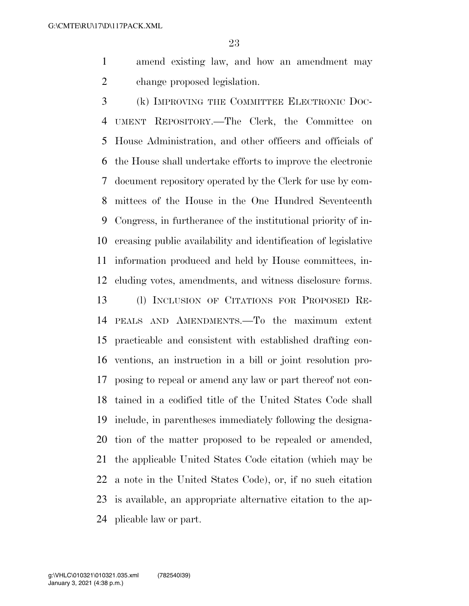amend existing law, and how an amendment may change proposed legislation.

 (k) IMPROVING THE COMMITTEE ELECTRONIC DOC- UMENT REPOSITORY.—The Clerk, the Committee on House Administration, and other officers and officials of the House shall undertake efforts to improve the electronic document repository operated by the Clerk for use by com- mittees of the House in the One Hundred Seventeenth Congress, in furtherance of the institutional priority of in- creasing public availability and identification of legislative information produced and held by House committees, in- cluding votes, amendments, and witness disclosure forms. (l) INCLUSION OF CITATIONS FOR PROPOSED RE- PEALS AND AMENDMENTS.—To the maximum extent practicable and consistent with established drafting con- ventions, an instruction in a bill or joint resolution pro- posing to repeal or amend any law or part thereof not con- tained in a codified title of the United States Code shall include, in parentheses immediately following the designa- tion of the matter proposed to be repealed or amended, the applicable United States Code citation (which may be a note in the United States Code), or, if no such citation is available, an appropriate alternative citation to the ap-plicable law or part.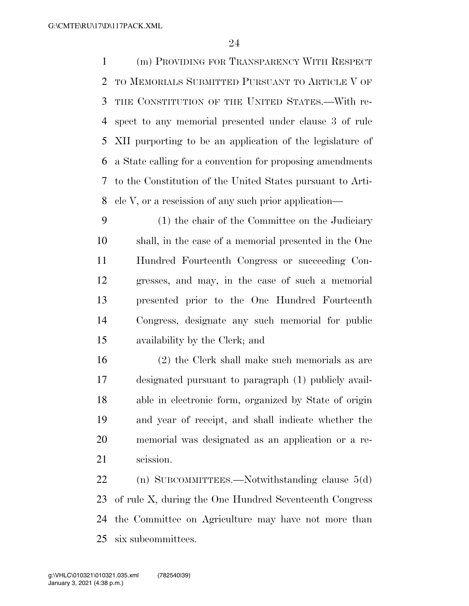(m) PROVIDING FOR TRANSPARENCY WITH RESPECT TO MEMORIALS SUBMITTED PURSUANT TO ARTICLE V OF THE CONSTITUTION OF THE UNITED STATES.—With re- spect to any memorial presented under clause 3 of rule XII purporting to be an application of the legislature of a State calling for a convention for proposing amendments to the Constitution of the United States pursuant to Arti-cle V, or a rescission of any such prior application—

 (1) the chair of the Committee on the Judiciary shall, in the case of a memorial presented in the One Hundred Fourteenth Congress or succeeding Con- gresses, and may, in the case of such a memorial presented prior to the One Hundred Fourteenth Congress, designate any such memorial for public availability by the Clerk; and

 (2) the Clerk shall make such memorials as are designated pursuant to paragraph (1) publicly avail- able in electronic form, organized by State of origin and year of receipt, and shall indicate whether the memorial was designated as an application or a re-scission.

 (n) SUBCOMMITTEES.—Notwithstanding clause 5(d) of rule X, during the One Hundred Seventeenth Congress the Committee on Agriculture may have not more than six subcommittees.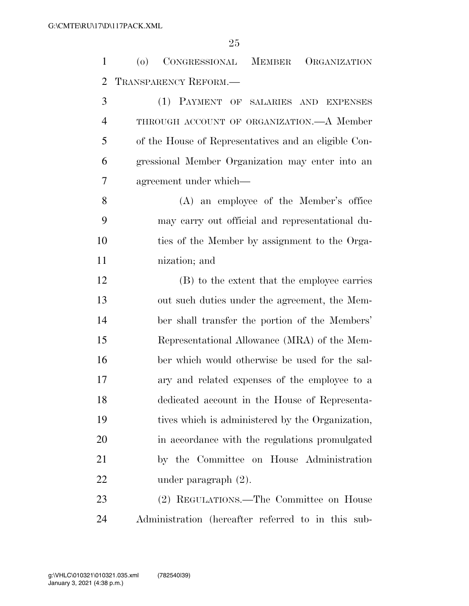(o) CONGRESSIONAL MEMBER ORGANIZATION TRANSPARENCY REFORM.—

 (1) PAYMENT OF SALARIES AND EXPENSES THROUGH ACCOUNT OF ORGANIZATION.—A Member of the House of Representatives and an eligible Con- gressional Member Organization may enter into an agreement under which—

 (A) an employee of the Member's office may carry out official and representational du- ties of the Member by assignment to the Orga-nization; and

 (B) to the extent that the employee carries out such duties under the agreement, the Mem- ber shall transfer the portion of the Members' Representational Allowance (MRA) of the Mem- ber which would otherwise be used for the sal- ary and related expenses of the employee to a dedicated account in the House of Representa- tives which is administered by the Organization, in accordance with the regulations promulgated by the Committee on House Administration under paragraph (2).

 (2) REGULATIONS.—The Committee on House Administration (hereafter referred to in this sub-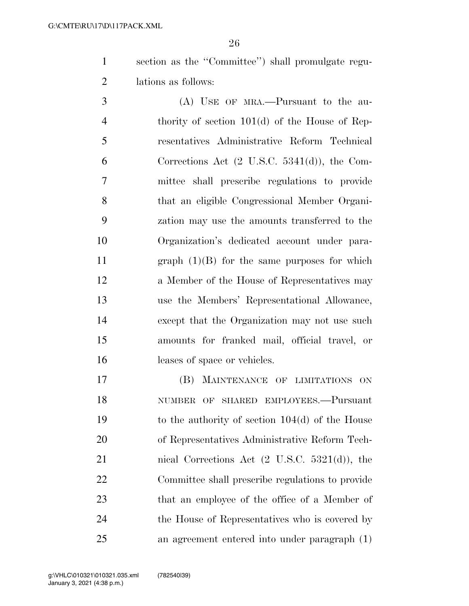section as the ''Committee'') shall promulgate regu-lations as follows:

 (A) USE OF MRA.—Pursuant to the au- thority of section 101(d) of the House of Rep- resentatives Administrative Reform Technical Corrections Act (2 U.S.C. 5341(d)), the Com- mittee shall prescribe regulations to provide that an eligible Congressional Member Organi- zation may use the amounts transferred to the Organization's dedicated account under para- graph (1)(B) for the same purposes for which a Member of the House of Representatives may use the Members' Representational Allowance, except that the Organization may not use such amounts for franked mail, official travel, or leases of space or vehicles.

 (B) MAINTENANCE OF LIMITATIONS ON NUMBER OF SHARED EMPLOYEES.—Pursuant to the authority of section 104(d) of the House of Representatives Administrative Reform Tech- nical Corrections Act (2 U.S.C. 5321(d)), the Committee shall prescribe regulations to provide that an employee of the office of a Member of the House of Representatives who is covered by an agreement entered into under paragraph (1)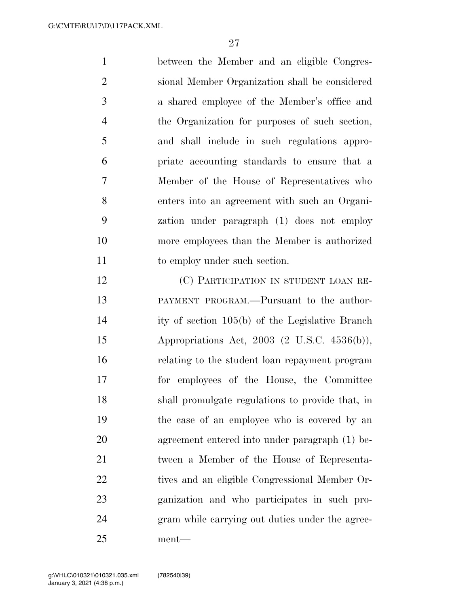between the Member and an eligible Congres- sional Member Organization shall be considered a shared employee of the Member's office and the Organization for purposes of such section, and shall include in such regulations appro- priate accounting standards to ensure that a Member of the House of Representatives who enters into an agreement with such an Organi- zation under paragraph (1) does not employ more employees than the Member is authorized 11 to employ under such section.

 (C) PARTICIPATION IN STUDENT LOAN RE- PAYMENT PROGRAM.—Pursuant to the author- ity of section 105(b) of the Legislative Branch Appropriations Act, 2003 (2 U.S.C. 4536(b)), relating to the student loan repayment program for employees of the House, the Committee shall promulgate regulations to provide that, in the case of an employee who is covered by an agreement entered into under paragraph (1) be- tween a Member of the House of Representa-22 tives and an eligible Congressional Member Or- ganization and who participates in such pro- gram while carrying out duties under the agree-ment—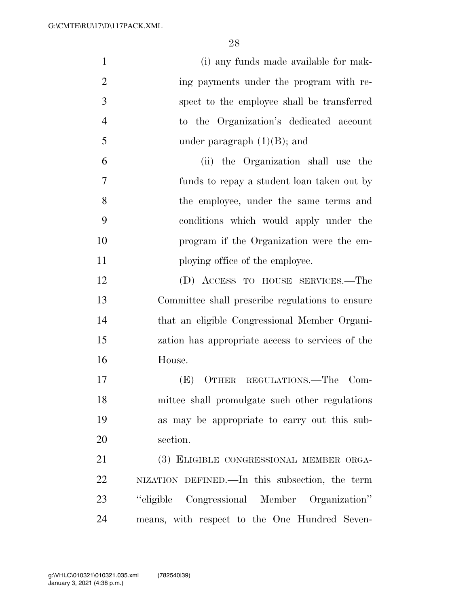| $\mathbf{1}$   | (i) any funds made available for mak-            |
|----------------|--------------------------------------------------|
| $\overline{2}$ | ing payments under the program with re-          |
| 3              | spect to the employee shall be transferred       |
| $\overline{4}$ | to the Organization's dedicated account          |
| 5              | under paragraph $(1)(B)$ ; and                   |
| 6              | (ii) the Organization shall use the              |
| 7              | funds to repay a student loan taken out by       |
| 8              | the employee, under the same terms and           |
| 9              | conditions which would apply under the           |
| 10             | program if the Organization were the em-         |
| 11             | ploying office of the employee.                  |
| 12             | (D) ACCESS TO HOUSE SERVICES.—The                |
| 13             | Committee shall prescribe regulations to ensure  |
| 14             | that an eligible Congressional Member Organi-    |
| 15             | zation has appropriate access to services of the |
| 16             | House.                                           |
| 17             | OTHER REGULATIONS.—The<br>$Com-$<br>(E)          |
| 18             | mittee shall promulgate such other regulations   |
| 19             | as may be appropriate to carry out this sub-     |
| 20             | section.                                         |
| 21             | (3) ELIGIBLE CONGRESSIONAL MEMBER ORGA-          |
| 22             | NIZATION DEFINED.—In this subsection, the term   |
| 23             | "eligible Congressional Member Organization"     |
| 24             | means, with respect to the One Hundred Seven-    |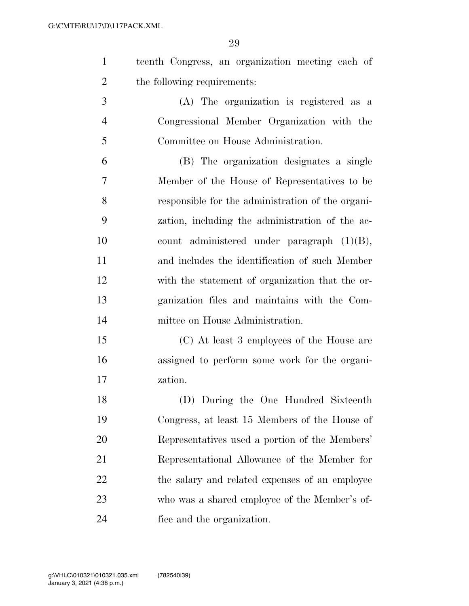|                             |  |  | teenth Congress, an organization meeting each of |  |  |  |
|-----------------------------|--|--|--------------------------------------------------|--|--|--|
| the following requirements: |  |  |                                                  |  |  |  |

- (A) The organization is registered as a Congressional Member Organization with the Committee on House Administration.
- (B) The organization designates a single Member of the House of Representatives to be responsible for the administration of the organi- zation, including the administration of the ac- count administered under paragraph (1)(B), and includes the identification of such Member with the statement of organization that the or- ganization files and maintains with the Com-mittee on House Administration.
- (C) At least 3 employees of the House are assigned to perform some work for the organi-zation.

 (D) During the One Hundred Sixteenth Congress, at least 15 Members of the House of Representatives used a portion of the Members' Representational Allowance of the Member for 22 the salary and related expenses of an employee who was a shared employee of the Member's of-fice and the organization.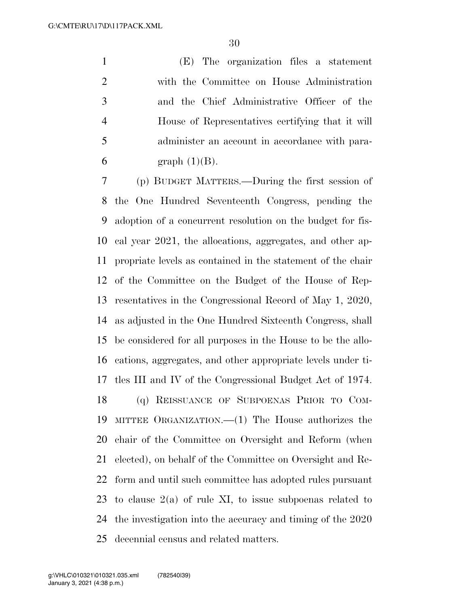(E) The organization files a statement with the Committee on House Administration and the Chief Administrative Officer of the House of Representatives certifying that it will administer an account in accordance with para-6 graph  $(1)(B)$ .

 (p) BUDGET MATTERS.—During the first session of the One Hundred Seventeenth Congress, pending the adoption of a concurrent resolution on the budget for fis- cal year 2021, the allocations, aggregates, and other ap- propriate levels as contained in the statement of the chair of the Committee on the Budget of the House of Rep- resentatives in the Congressional Record of May 1, 2020, as adjusted in the One Hundred Sixteenth Congress, shall be considered for all purposes in the House to be the allo- cations, aggregates, and other appropriate levels under ti- tles III and IV of the Congressional Budget Act of 1974. (q) REISSUANCE OF SUBPOENAS PRIOR TO COM- MITTEE ORGANIZATION.—(1) The House authorizes the chair of the Committee on Oversight and Reform (when elected), on behalf of the Committee on Oversight and Re- form and until such committee has adopted rules pursuant 23 to clause  $2(a)$  of rule XI, to issue subpoenas related to the investigation into the accuracy and timing of the 2020 decennial census and related matters.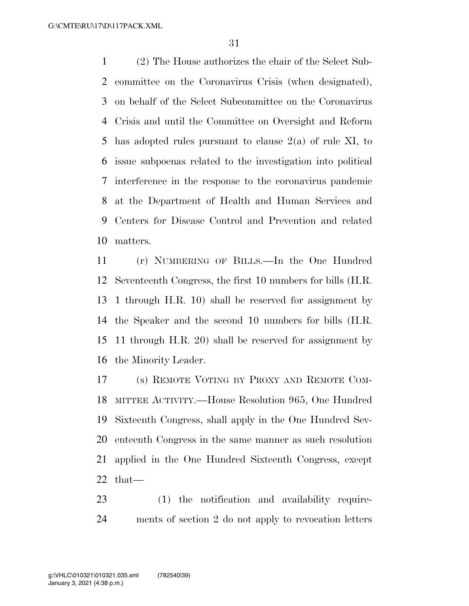(2) The House authorizes the chair of the Select Sub- committee on the Coronavirus Crisis (when designated), on behalf of the Select Subcommittee on the Coronavirus Crisis and until the Committee on Oversight and Reform has adopted rules pursuant to clause 2(a) of rule XI, to issue subpoenas related to the investigation into political interference in the response to the coronavirus pandemic at the Department of Health and Human Services and Centers for Disease Control and Prevention and related matters.

 (r) NUMBERING OF BILLS.—In the One Hundred Seventeenth Congress, the first 10 numbers for bills (H.R. 1 through H.R. 10) shall be reserved for assignment by the Speaker and the second 10 numbers for bills (H.R. 11 through H.R. 20) shall be reserved for assignment by the Minority Leader.

 (s) REMOTE VOTING BY PROXY AND REMOTE COM- MITTEE ACTIVITY.—House Resolution 965, One Hundred Sixteenth Congress, shall apply in the One Hundred Sev- enteenth Congress in the same manner as such resolution applied in the One Hundred Sixteenth Congress, except that—

 (1) the notification and availability require-ments of section 2 do not apply to revocation letters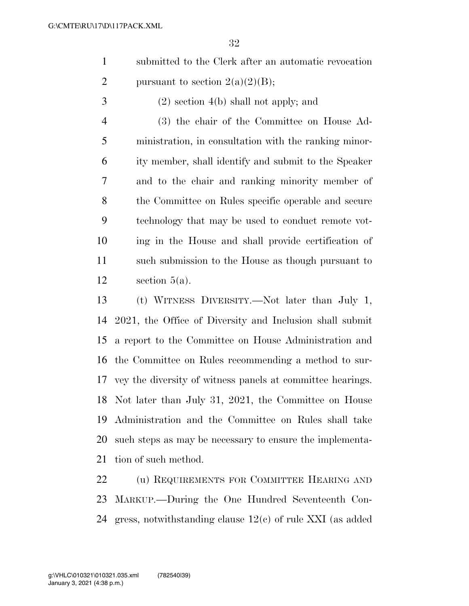- submitted to the Clerk after an automatic revocation 2 pursuant to section  $2(a)(2)(B)$ ;
- (2) section 4(b) shall not apply; and

 (3) the chair of the Committee on House Ad- ministration, in consultation with the ranking minor- ity member, shall identify and submit to the Speaker and to the chair and ranking minority member of the Committee on Rules specific operable and secure technology that may be used to conduct remote vot- ing in the House and shall provide certification of such submission to the House as though pursuant to 12 section  $5(a)$ .

 (t) WITNESS DIVERSITY.—Not later than July 1, 2021, the Office of Diversity and Inclusion shall submit a report to the Committee on House Administration and the Committee on Rules recommending a method to sur- vey the diversity of witness panels at committee hearings. Not later than July 31, 2021, the Committee on House Administration and the Committee on Rules shall take such steps as may be necessary to ensure the implementa-tion of such method.

22 (u) REQUIREMENTS FOR COMMITTEE HEARING AND MARKUP.—During the One Hundred Seventeenth Con-gress, notwithstanding clause 12(c) of rule XXI (as added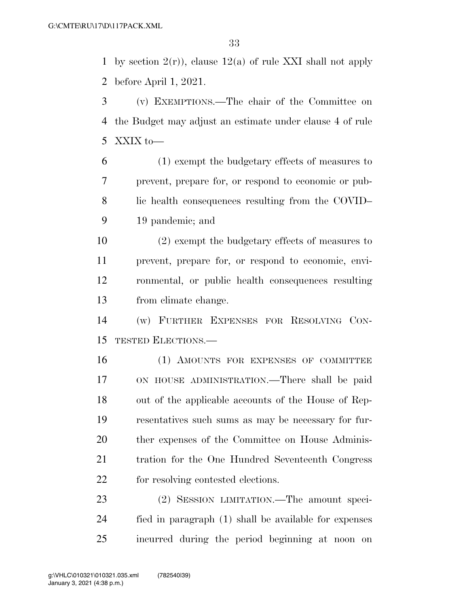1 by section  $2(r)$ , clause  $12(a)$  of rule XXI shall not apply before April 1, 2021.

- (v) EXEMPTIONS.—The chair of the Committee on the Budget may adjust an estimate under clause 4 of rule XXIX to—
- (1) exempt the budgetary effects of measures to prevent, prepare for, or respond to economic or pub- lic health consequences resulting from the COVID– 19 pandemic; and
- (2) exempt the budgetary effects of measures to prevent, prepare for, or respond to economic, envi- ronmental, or public health consequences resulting from climate change.
- (w) FURTHER EXPENSES FOR RESOLVING CON-TESTED ELECTIONS.—
- (1) AMOUNTS FOR EXPENSES OF COMMITTEE ON HOUSE ADMINISTRATION.—There shall be paid out of the applicable accounts of the House of Rep- resentatives such sums as may be necessary for fur-20 ther expenses of the Committee on House Adminis- tration for the One Hundred Seventeenth Congress for resolving contested elections.
- (2) SESSION LIMITATION.—The amount speci- fied in paragraph (1) shall be available for expenses incurred during the period beginning at noon on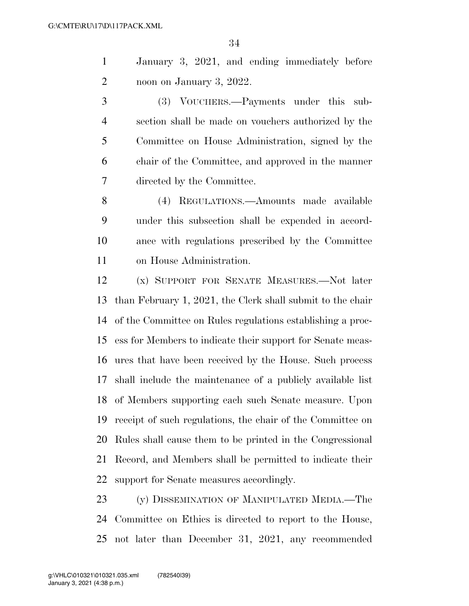January 3, 2021, and ending immediately before noon on January 3, 2022.

 (3) VOUCHERS.—Payments under this sub- section shall be made on vouchers authorized by the Committee on House Administration, signed by the chair of the Committee, and approved in the manner directed by the Committee.

 (4) REGULATIONS.—Amounts made available under this subsection shall be expended in accord- ance with regulations prescribed by the Committee on House Administration.

 (x) SUPPORT FOR SENATE MEASURES.—Not later than February 1, 2021, the Clerk shall submit to the chair of the Committee on Rules regulations establishing a proc- ess for Members to indicate their support for Senate meas- ures that have been received by the House. Such process shall include the maintenance of a publicly available list of Members supporting each such Senate measure. Upon receipt of such regulations, the chair of the Committee on Rules shall cause them to be printed in the Congressional Record, and Members shall be permitted to indicate their support for Senate measures accordingly.

 (y) DISSEMINATION OF MANIPULATED MEDIA.—The Committee on Ethics is directed to report to the House, not later than December 31, 2021, any recommended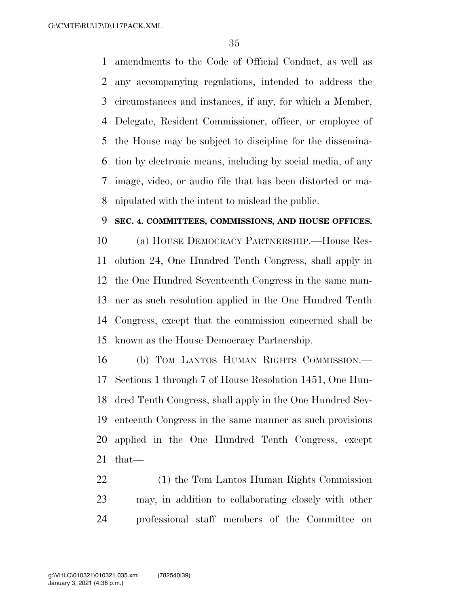amendments to the Code of Official Conduct, as well as any accompanying regulations, intended to address the circumstances and instances, if any, for which a Member, Delegate, Resident Commissioner, officer, or employee of the House may be subject to discipline for the dissemina- tion by electronic means, including by social media, of any image, video, or audio file that has been distorted or ma-nipulated with the intent to mislead the public.

### **SEC. 4. COMMITTEES, COMMISSIONS, AND HOUSE OFFICES.**

 (a) HOUSE DEMOCRACY PARTNERSHIP.—House Res- olution 24, One Hundred Tenth Congress, shall apply in the One Hundred Seventeenth Congress in the same man- ner as such resolution applied in the One Hundred Tenth Congress, except that the commission concerned shall be known as the House Democracy Partnership.

 (b) TOM LANTOS HUMAN RIGHTS COMMISSION.— Sections 1 through 7 of House Resolution 1451, One Hun- dred Tenth Congress, shall apply in the One Hundred Sev- enteenth Congress in the same manner as such provisions applied in the One Hundred Tenth Congress, except that

 (1) the Tom Lantos Human Rights Commission may, in addition to collaborating closely with other professional staff members of the Committee on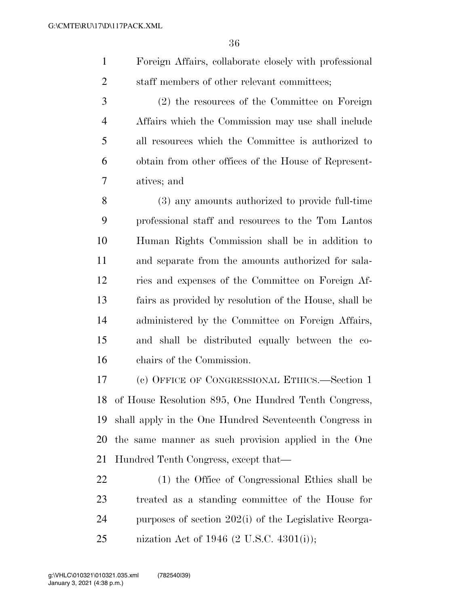- Foreign Affairs, collaborate closely with professional 2 staff members of other relevant committees;
- (2) the resources of the Committee on Foreign Affairs which the Commission may use shall include all resources which the Committee is authorized to obtain from other offices of the House of Represent-atives; and

 (3) any amounts authorized to provide full-time professional staff and resources to the Tom Lantos Human Rights Commission shall be in addition to and separate from the amounts authorized for sala- ries and expenses of the Committee on Foreign Af- fairs as provided by resolution of the House, shall be administered by the Committee on Foreign Affairs, and shall be distributed equally between the co-chairs of the Commission.

 (c) OFFICE OF CONGRESSIONAL ETHICS.—Section 1 of House Resolution 895, One Hundred Tenth Congress, shall apply in the One Hundred Seventeenth Congress in the same manner as such provision applied in the One Hundred Tenth Congress, except that—

 (1) the Office of Congressional Ethics shall be treated as a standing committee of the House for purposes of section 202(i) of the Legislative Reorga-nization Act of 1946 (2 U.S.C. 4301(i));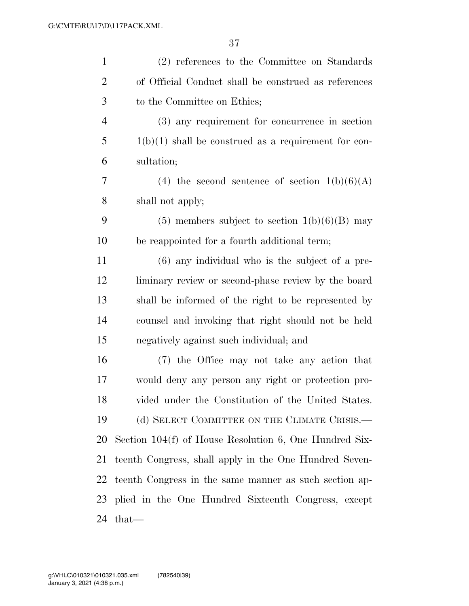| $\mathbf{1}$   | (2) references to the Committee on Standards             |
|----------------|----------------------------------------------------------|
| $\overline{2}$ | of Official Conduct shall be construed as references     |
| 3              | to the Committee on Ethics;                              |
| $\overline{4}$ | (3) any requirement for concurrence in section           |
| 5              | $1(b)(1)$ shall be construed as a requirement for con-   |
| 6              | sultation;                                               |
| 7              | (4) the second sentence of section $1(b)(6)(A)$          |
| 8              | shall not apply;                                         |
| 9              | $(5)$ members subject to section $1(b)(6)(B)$ may        |
| 10             | be reappointed for a fourth additional term;             |
| 11             | $(6)$ any individual who is the subject of a pre-        |
| 12             | liminary review or second-phase review by the board      |
| 13             | shall be informed of the right to be represented by      |
| 14             | counsel and invoking that right should not be held       |
| 15             | negatively against such individual; and                  |
| 16             | (7) the Office may not take any action that              |
| 17             | would deny any person any right or protection pro-       |
| 18             | vided under the Constitution of the United States.       |
| 19             | (d) SELECT COMMITTEE ON THE CLIMATE CRISIS.—             |
| 20             | Section $104(f)$ of House Resolution 6, One Hundred Six- |
| 21             | teenth Congress, shall apply in the One Hundred Seven-   |
| 22             | teenth Congress in the same manner as such section ap-   |
| 23             | plied in the One Hundred Sixteenth Congress, except      |
| 24             | that—                                                    |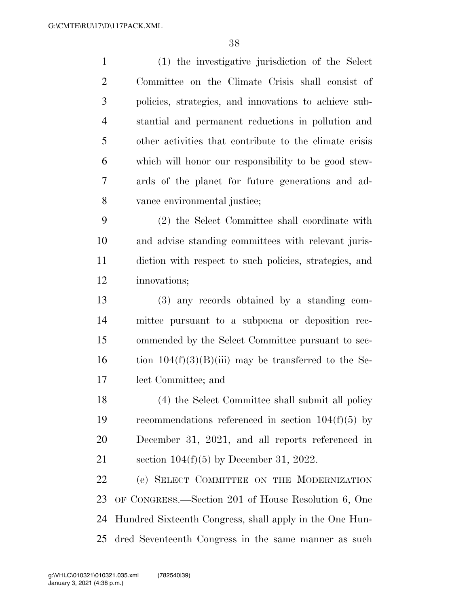| $\mathbf{1}$   | (1) the investigative jurisdiction of the Select        |
|----------------|---------------------------------------------------------|
| $\overline{2}$ | Committee on the Climate Crisis shall consist of        |
| 3              | policies, strategies, and innovations to achieve sub-   |
| $\overline{4}$ | stantial and permanent reductions in pollution and      |
| 5              | other activities that contribute to the climate crisis  |
| 6              | which will honor our responsibility to be good stew-    |
| 7              | ards of the planet for future generations and ad-       |
| 8              | vance environmental justice;                            |
| 9              | (2) the Select Committee shall coordinate with          |
| 10             | and advise standing committees with relevant juris-     |
| 11             | diction with respect to such policies, strategies, and  |
| 12             | innovations;                                            |
| 13             | (3) any records obtained by a standing com-             |
| 14             | mittee pursuant to a subpoena or deposition rec-        |
| 15             | ommended by the Select Committee pursuant to sec-       |
| 16             | tion $104(f)(3)(B)(iii)$ may be transferred to the Se-  |
| 17             | lect Committee; and                                     |
| 18             | (4) the Select Committee shall submit all policy        |
| 19             | recommendations referenced in section $104(f)(5)$ by    |
| 20             | December 31, 2021, and all reports referenced in        |
| 21             | section $104(f)(5)$ by December 31, 2022.               |
| 22             | (e) SELECT COMMITTEE ON THE MODERNIZATION               |
| 23             | OF CONGRESS.—Section 201 of House Resolution 6, One     |
| 24             | Hundred Sixteenth Congress, shall apply in the One Hun- |
| 25             | dred Seventeenth Congress in the same manner as such    |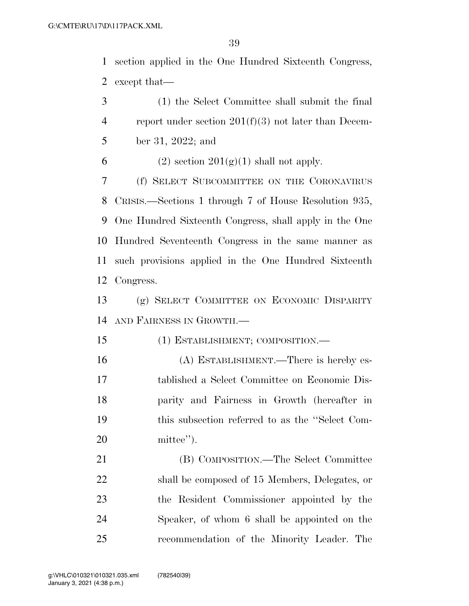section applied in the One Hundred Sixteenth Congress, except that—

 (1) the Select Committee shall submit the final report under section 201(f)(3) not later than Decem- ber 31, 2022; and 6 (2) section  $201(g)(1)$  shall not apply. (f) SELECT SUBCOMMITTEE ON THE CORONAVIRUS CRISIS.—Sections 1 through 7 of House Resolution 935, One Hundred Sixteenth Congress, shall apply in the One Hundred Seventeenth Congress in the same manner as such provisions applied in the One Hundred Sixteenth Congress. (g) SELECT COMMITTEE ON ECONOMIC DISPARITY

AND FAIRNESS IN GROWTH.—

(1) ESTABLISHMENT; COMPOSITION.—

 (A) ESTABLISHMENT.—There is hereby es- tablished a Select Committee on Economic Dis- parity and Fairness in Growth (hereafter in this subsection referred to as the ''Select Com-mittee'').

 (B) COMPOSITION.—The Select Committee shall be composed of 15 Members, Delegates, or the Resident Commissioner appointed by the Speaker, of whom 6 shall be appointed on the recommendation of the Minority Leader. The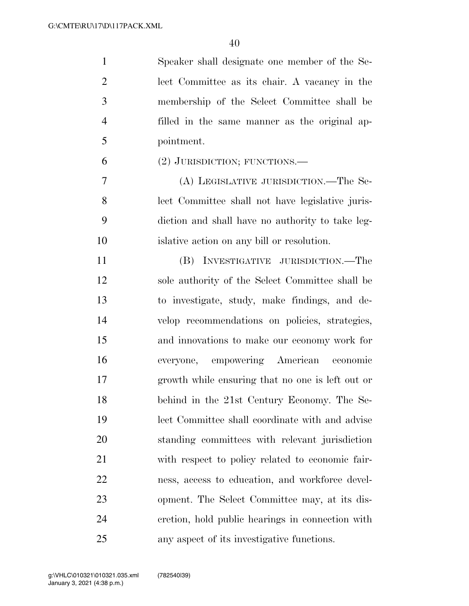| $\mathbf{1}$   | Speaker shall designate one member of the Se-    |
|----------------|--------------------------------------------------|
| $\overline{2}$ | lect Committee as its chair. A vacancy in the    |
| 3              | membership of the Select Committee shall be      |
| $\overline{4}$ | filled in the same manner as the original ap-    |
| 5              | pointment.                                       |
| 6              | $(2)$ JURISDICTION; FUNCTIONS.—                  |
| 7              | (A) LEGISLATIVE JURISDICTION.—The Se-            |
| 8              | lect Committee shall not have legislative juris- |
| 9              | diction and shall have no authority to take leg- |
| 10             | is lative action on any bill or resolution.      |
| 11             | (B) INVESTIGATIVE JURISDICTION.—The              |
| 12             | sole authority of the Select Committee shall be  |
| 13             | to investigate, study, make findings, and de-    |
| 14             | velop recommendations on policies, strategies,   |
| 15             | and innovations to make our economy work for     |
| 16             | everyone, empowering American economic           |
| 17             | growth while ensuring that no one is left out or |
| 18             | behind in the 21st Century Economy. The Se-      |
| 19             | lect Committee shall coordinate with and advise  |
| 20             | standing committees with relevant jurisdiction   |
| 21             | with respect to policy related to economic fair- |
| 22             | ness, access to education, and workforce devel-  |
| 23             | opment. The Select Committee may, at its dis-    |
| 24             | cretion, hold public hearings in connection with |
| 25             | any aspect of its investigative functions.       |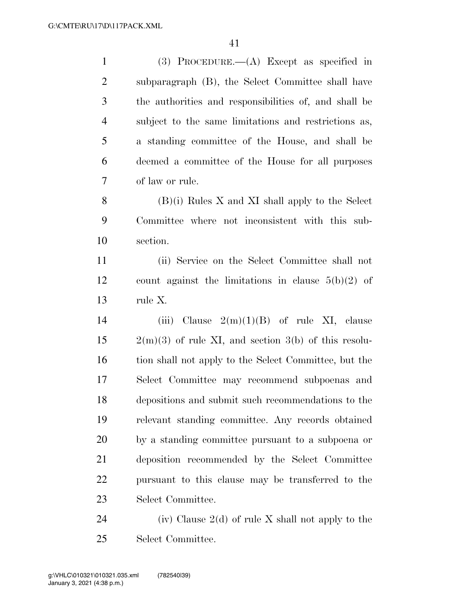(3) PROCEDURE.—(A) Except as specified in subparagraph (B), the Select Committee shall have the authorities and responsibilities of, and shall be subject to the same limitations and restrictions as, a standing committee of the House, and shall be deemed a committee of the House for all purposes of law or rule. (B)(i) Rules X and XI shall apply to the Select Committee where not inconsistent with this sub- section. (ii) Service on the Select Committee shall not count against the limitations in clause 5(b)(2) of rule X. 14 (iii) Clause  $2(m)(1)(B)$  of rule XI, clause  $15 \qquad 2(m)(3)$  of rule XI, and section 3(b) of this resolu- tion shall not apply to the Select Committee, but the Select Committee may recommend subpoenas and depositions and submit such recommendations to the relevant standing committee. Any records obtained by a standing committee pursuant to a subpoena or deposition recommended by the Select Committee pursuant to this clause may be transferred to the Select Committee. 24 (iv) Clause  $2(d)$  of rule X shall not apply to the

Select Committee.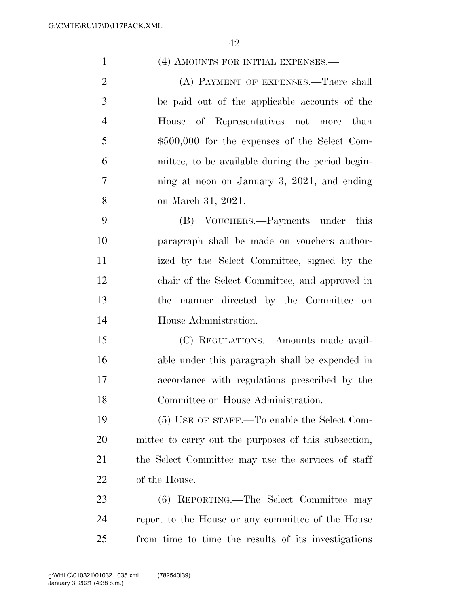| $\mathbf{1}$   | (4) AMOUNTS FOR INITIAL EXPENSES.—                   |
|----------------|------------------------------------------------------|
| $\overline{2}$ | (A) PAYMENT OF EXPENSES.—There shall                 |
| 3              | be paid out of the applicable accounts of the        |
| $\overline{4}$ | House of Representatives not more than               |
| 5              | $$500,000$ for the expenses of the Select Com-       |
| 6              | mittee, to be available during the period begin-     |
| $\tau$         | ning at noon on January 3, 2021, and ending          |
| 8              | on March 31, 2021.                                   |
| 9              | (B) VOUCHERS.—Payments under this                    |
| 10             | paragraph shall be made on vouchers author-          |
| 11             | ized by the Select Committee, signed by the          |
| 12             | chair of the Select Committee, and approved in       |
| 13             | manner directed by the Committee on<br>the           |
| 14             | House Administration.                                |
| 15             | (C) REGULATIONS.—Amounts made avail-                 |
| 16             | able under this paragraph shall be expended in       |
| 17             | accordance with regulations prescribed by the        |
| 18             | Committee on House Administration.                   |
| 19             | (5) USE OF STAFF.—To enable the Select Com-          |
| 20             | mittee to carry out the purposes of this subsection, |
| 21             | the Select Committee may use the services of staff   |
| 22             | of the House.                                        |
| 23             | (6) REPORTING.—The Select Committee may              |
| 24             | report to the House or any committee of the House    |
| 25             | from time to time the results of its investigations  |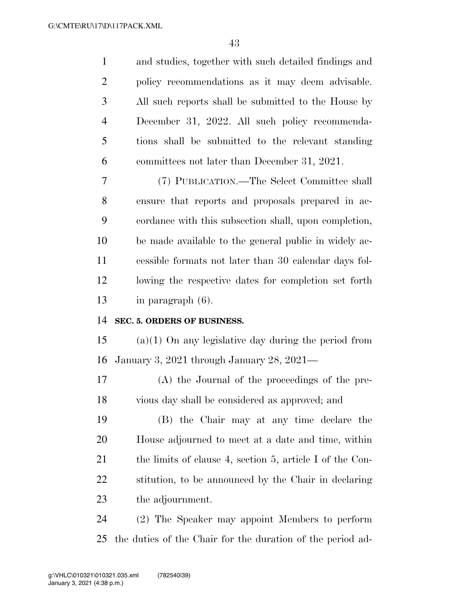| $\mathbf{1}$   | and studies, together with such detailed findings and    |
|----------------|----------------------------------------------------------|
| $\overline{2}$ | policy recommendations as it may deem advisable.         |
| 3              | All such reports shall be submitted to the House by      |
| 4              | December 31, 2022. All such policy recommenda-           |
| 5              | tions shall be submitted to the relevant standing        |
| 6              | committees not later than December 31, 2021.             |
| 7              | (7) PUBLICATION.—The Select Committee shall              |
| 8              | ensure that reports and proposals prepared in ac-        |
| 9              | cordance with this subsection shall, upon completion,    |
| 10             | be made available to the general public in widely ac-    |
| 11             | cessible formats not later than 30 calendar days fol-    |
| 12             | lowing the respective dates for completion set forth     |
|                |                                                          |
| 13             | in paragraph (6).                                        |
| 14             | SEC. 5. ORDERS OF BUSINESS.                              |
| 15             | $(a)(1)$ On any legislative day during the period from   |
| 16             | January 3, 2021 through January 28, 2021-                |
| 17             | (A) the Journal of the proceedings of the pre-           |
| 18             | vious day shall be considered as approved; and           |
| 19             | (B) the Chair may at any time declare the                |
| 20             | House adjourned to meet at a date and time, within       |
| 21             | the limits of clause 4, section 5, article I of the Con- |
| 22             | stitution, to be announced by the Chair in declaring     |
| 23             | the adjournment.                                         |

the duties of the Chair for the duration of the period ad-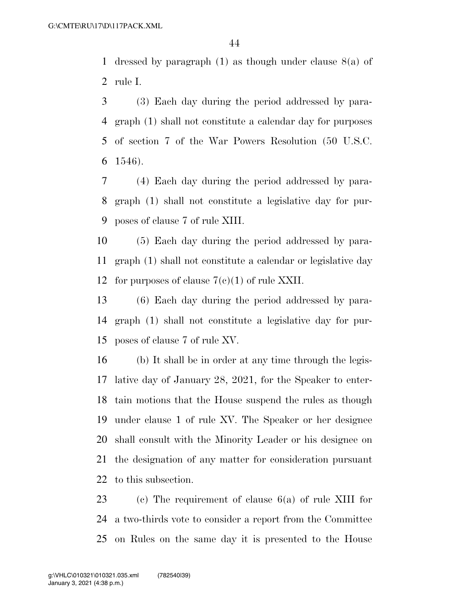1 dressed by paragraph  $(1)$  as though under clause  $8(a)$  of rule I.

 (3) Each day during the period addressed by para- graph (1) shall not constitute a calendar day for purposes of section 7 of the War Powers Resolution (50 U.S.C. 1546).

 (4) Each day during the period addressed by para- graph (1) shall not constitute a legislative day for pur-poses of clause 7 of rule XIII.

 (5) Each day during the period addressed by para- graph (1) shall not constitute a calendar or legislative day 12 for purposes of clause  $7(e)(1)$  of rule XXII.

 (6) Each day during the period addressed by para- graph (1) shall not constitute a legislative day for pur-poses of clause 7 of rule XV.

 (b) It shall be in order at any time through the legis- lative day of January 28, 2021, for the Speaker to enter- tain motions that the House suspend the rules as though under clause 1 of rule XV. The Speaker or her designee shall consult with the Minority Leader or his designee on the designation of any matter for consideration pursuant to this subsection.

 (c) The requirement of clause 6(a) of rule XIII for a two-thirds vote to consider a report from the Committee on Rules on the same day it is presented to the House